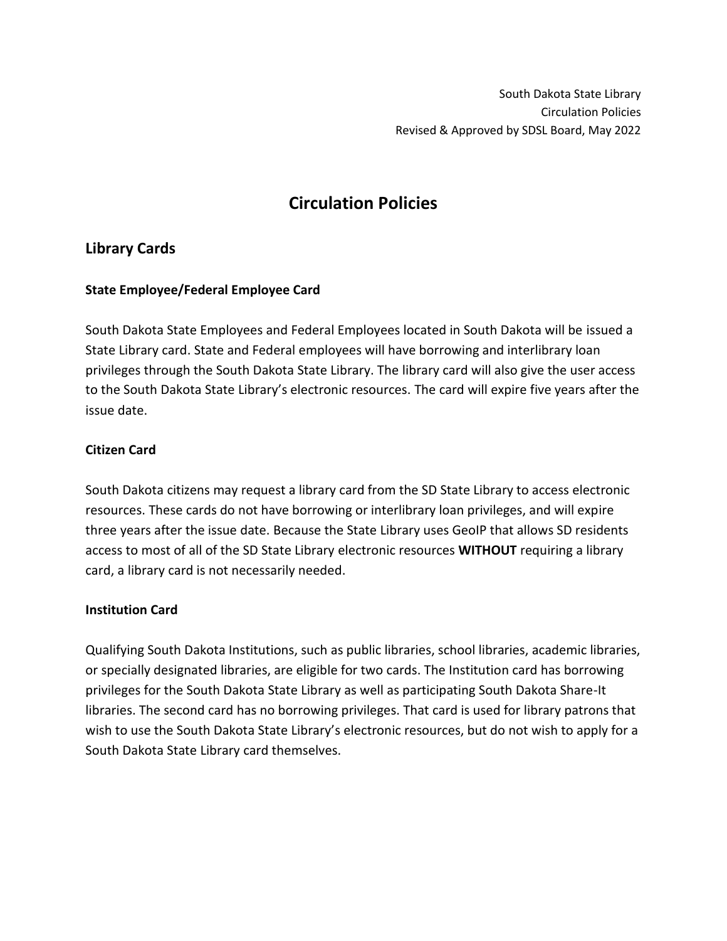# **Circulation Policies**

# **Library Cards**

# **State Employee/Federal Employee Card**

South Dakota State Employees and Federal Employees located in South Dakota will be issued a State Library card. State and Federal employees will have borrowing and interlibrary loan privileges through the South Dakota State Library. The library card will also give the user access to the South Dakota State Library's electronic resources. The card will expire five years after the issue date.

# **Citizen Card**

South Dakota citizens may request a library card from the SD State Library to access electronic resources. These cards do not have borrowing or interlibrary loan privileges, and will expire three years after the issue date. Because the State Library uses GeoIP that allows SD residents access to most of all of the SD State Library [electronic resources](https://library.sd.gov/LIB/ERD/complete.aspx) **WITHOUT** requiring a library card, a library card is not necessarily needed.

# **Institution Card**

Qualifying South Dakota Institutions, such as public libraries, school libraries, academic libraries, or specially designated libraries, are eligible for two cards. The Institution card has borrowing privileges for the South Dakota State Library as well as participating South Dakota Share-It libraries. The second card has no borrowing privileges. That card is used for library patrons that wish to use the South Dakota State Library's electronic resources, but do not wish to apply for a South Dakota State Library card themselves.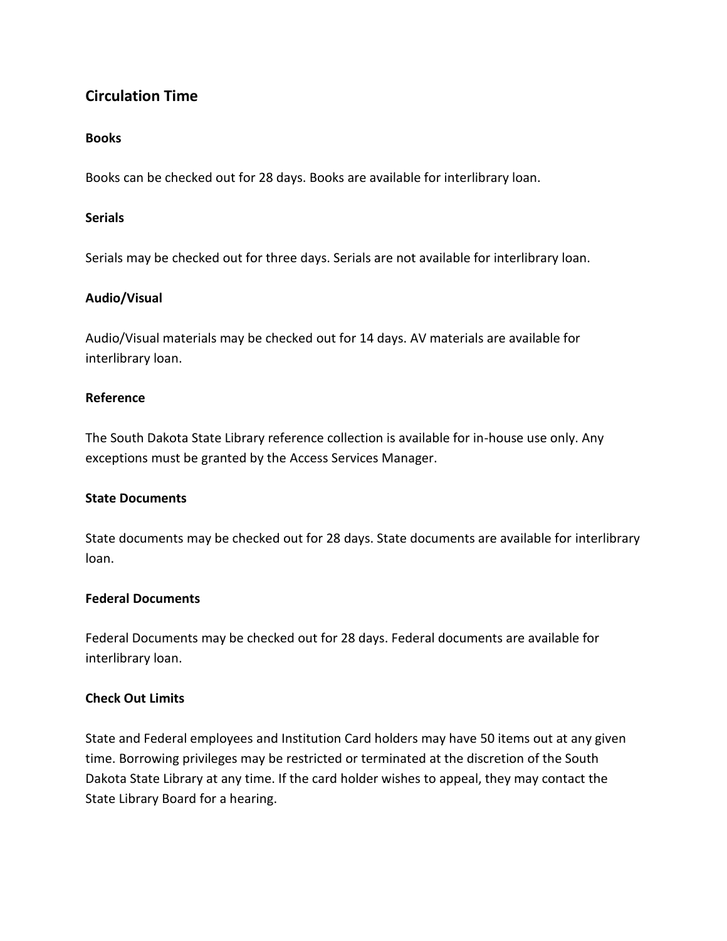# **Circulation Time**

# **Books**

Books can be checked out for 28 days. Books are available for interlibrary loan.

#### **Serials**

Serials may be checked out for three days. Serials are not available for interlibrary loan.

#### **Audio/Visual**

Audio/Visual materials may be checked out for 14 days. AV materials are available for interlibrary loan.

# **Reference**

The South Dakota State Library reference collection is available for in-house use only. Any exceptions must be granted by the Access Services Manager.

#### **State Documents**

State documents may be checked out for 28 days. State documents are available for interlibrary loan.

#### **Federal Documents**

Federal Documents may be checked out for 28 days. Federal documents are available for interlibrary loan.

# **Check Out Limits**

State and Federal employees and Institution Card holders may have 50 items out at any given time. Borrowing privileges may be restricted or terminated at the discretion of the South Dakota State Library at any time. If the card holder wishes to appeal, they may contact the State Library Board for a hearing.